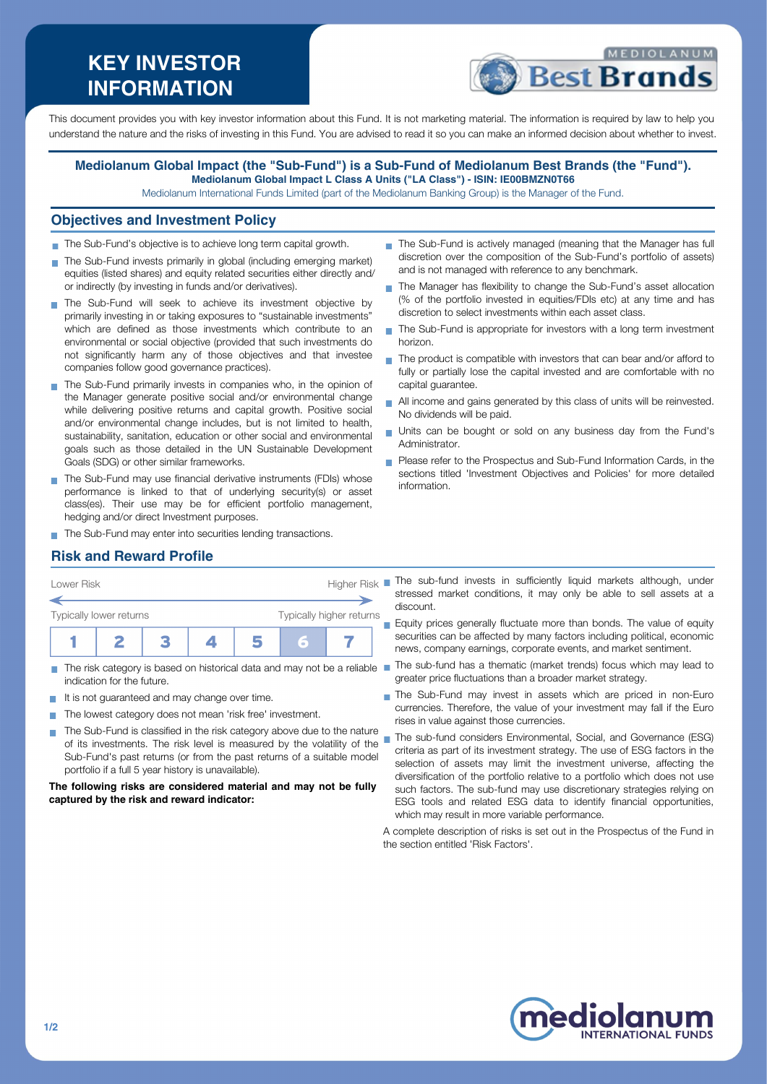# **KEY INVESTOR INFORMATION**



This document provides you with key investor information about this Fund. It is not marketing material. The information is required by law to help you understand the nature and the risks of investing in this Fund. You are advised to read it so you can make an informed decision about whether to invest.

#### **Mediolanum Global Impact (the "Sub-Fund") is a Sub-Fund of Mediolanum Best Brands (the "Fund"). Mediolanum Global Impact L Class A Units ("LA Class") - ISIN: IE00BMZN0T66**

Mediolanum International Funds Limited (part of the Mediolanum Banking Group) is the Manager of the Fund.

### **Objectives and Investment Policy**

- The Sub-Fund's objective is to achieve long term capital growth.
- The Sub-Fund invests primarily in global (including emerging market) equities (listed shares) and equity related securities either directly and/ or indirectly (by investing in funds and/or derivatives).
- The Sub-Fund will seek to achieve its investment objective by primarily investing in or taking exposures to "sustainable investments" which are defined as those investments which contribute to an environmental or social objective (provided that such investments do not significantly harm any of those objectives and that investee companies follow good governance practices).
- The Sub-Fund primarily invests in companies who, in the opinion of the Manager generate positive social and/or environmental change while delivering positive returns and capital growth. Positive social and/or environmental change includes, but is not limited to health, sustainability, sanitation, education or other social and environmental goals such as those detailed in the UN Sustainable Development Goals (SDG) or other similar frameworks.
- The Sub-Fund may use financial derivative instruments (FDIs) whose performance is linked to that of underlying security(s) or asset class(es). Their use may be for efficient portfolio management, hedging and/or direct Investment purposes.
- The Sub-Fund may enter into securities lending transactions.
- The Sub-Fund is actively managed (meaning that the Manager has full discretion over the composition of the Sub-Fund's portfolio of assets) and is not managed with reference to any benchmark.
- The Manager has flexibility to change the Sub-Fund's asset allocation (% of the portfolio invested in equities/FDIs etc) at any time and has discretion to select investments within each asset class.
- The Sub-Fund is appropriate for investors with a long term investment horizon.
- The product is compatible with investors that can bear and/or afford to fully or partially lose the capital invested and are comfortable with no capital guarantee.
- All income and gains generated by this class of units will be reinvested. No dividends will be paid.
- Units can be bought or sold on any business day from the Fund's Administrator.
- **Please refer to the Prospectus and Sub-Fund Information Cards, in the** sections titled 'Investment Objectives and Policies' for more detailed information.

# **Risk and Reward Profile**

| Lower Risk              |  |  | <b>Higher Risk</b>       |  |   |  |  |
|-------------------------|--|--|--------------------------|--|---|--|--|
| Typically lower returns |  |  | Typically higher returns |  |   |  |  |
|                         |  |  |                          |  | ត |  |  |

- indication for the future.
- It is not guaranteed and may change over time.
- The lowest category does not mean 'risk free' investment.
- The Sub-Fund is classified in the risk category above due to the nature of its investments. The risk level is measured by the volatility of the Sub-Fund's past returns (or from the past returns of a suitable model portfolio if a full 5 year history is unavailable).

**The following risks are considered material and may not be fully captured by the risk and reward indicator:**

- The sub-fund invests in sufficiently liquid markets although, under stressed market conditions, it may only be able to sell assets at a discount.
	- Equity prices generally fluctuate more than bonds. The value of equity securities can be affected by many factors including political, economic news, company earnings, corporate events, and market sentiment.
- The risk category is based on historical data and may not be a reliable The sub-fund has a thematic (market trends) focus which may lead to greater price fluctuations than a broader market strategy.
	- The Sub-Fund may invest in assets which are priced in non-Euro currencies. Therefore, the value of your investment may fall if the Euro rises in value against those currencies.
	- The sub-fund considers Environmental, Social, and Governance (ESG) criteria as part of its investment strategy. The use of ESG factors in the selection of assets may limit the investment universe, affecting the diversification of the portfolio relative to a portfolio which does not use such factors. The sub-fund may use discretionary strategies relying on ESG tools and related ESG data to identify financial opportunities, which may result in more variable performance.

A complete description of risks is set out in the Prospectus of the Fund in the section entitled 'Risk Factors'.